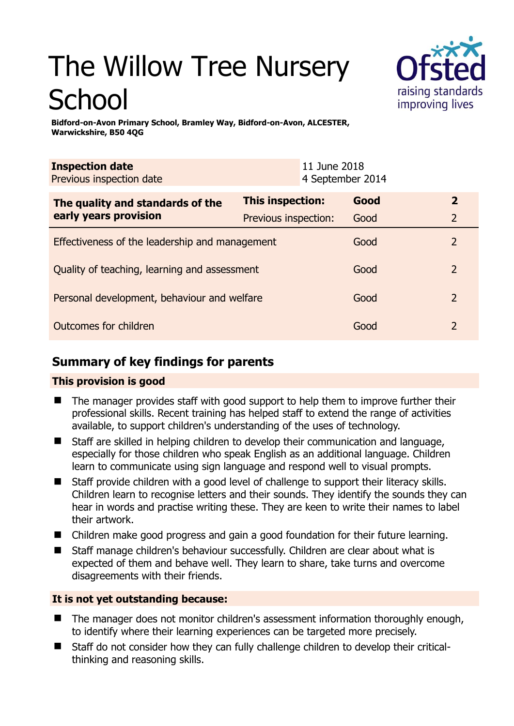# The Willow Tree Nursery School



**Bidford-on-Avon Primary School, Bramley Way, Bidford-on-Avon, ALCESTER, Warwickshire, B50 4QG** 

| <b>Inspection date</b><br>Previous inspection date        |                      | 11 June 2018<br>4 September 2014 |      |                |
|-----------------------------------------------------------|----------------------|----------------------------------|------|----------------|
| The quality and standards of the<br>early years provision | This inspection:     |                                  | Good | $\overline{2}$ |
|                                                           | Previous inspection: |                                  | Good | $\overline{2}$ |
| Effectiveness of the leadership and management            |                      |                                  | Good | $\mathcal{P}$  |
| Quality of teaching, learning and assessment              |                      |                                  | Good | $\mathcal{P}$  |
| Personal development, behaviour and welfare               |                      |                                  | Good | $\overline{2}$ |
| Outcomes for children                                     |                      |                                  | Good | $\mathcal{P}$  |

# **Summary of key findings for parents**

## **This provision is good**

- The manager provides staff with good support to help them to improve further their professional skills. Recent training has helped staff to extend the range of activities available, to support children's understanding of the uses of technology.
- Staff are skilled in helping children to develop their communication and language, especially for those children who speak English as an additional language. Children learn to communicate using sign language and respond well to visual prompts.
- Staff provide children with a good level of challenge to support their literacy skills. Children learn to recognise letters and their sounds. They identify the sounds they can hear in words and practise writing these. They are keen to write their names to label their artwork.
- Children make good progress and gain a good foundation for their future learning.
- Staff manage children's behaviour successfully. Children are clear about what is expected of them and behave well. They learn to share, take turns and overcome disagreements with their friends.

## **It is not yet outstanding because:**

- The manager does not monitor children's assessment information thoroughly enough, to identify where their learning experiences can be targeted more precisely.
- Staff do not consider how they can fully challenge children to develop their criticalthinking and reasoning skills.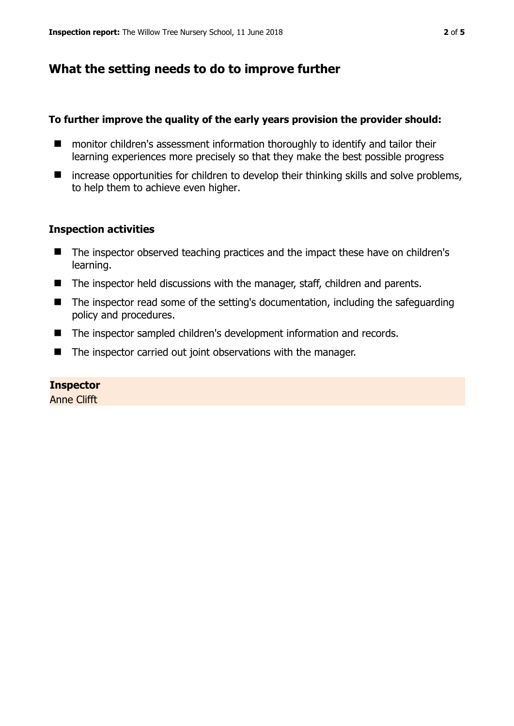## **What the setting needs to do to improve further**

#### **To further improve the quality of the early years provision the provider should:**

- monitor children's assessment information thoroughly to identify and tailor their learning experiences more precisely so that they make the best possible progress
- $\blacksquare$  increase opportunities for children to develop their thinking skills and solve problems, to help them to achieve even higher.

#### **Inspection activities**

- The inspector observed teaching practices and the impact these have on children's learning.
- The inspector held discussions with the manager, staff, children and parents.
- The inspector read some of the setting's documentation, including the safeguarding policy and procedures.
- The inspector sampled children's development information and records.
- The inspector carried out joint observations with the manager.

#### **Inspector**

Anne Clifft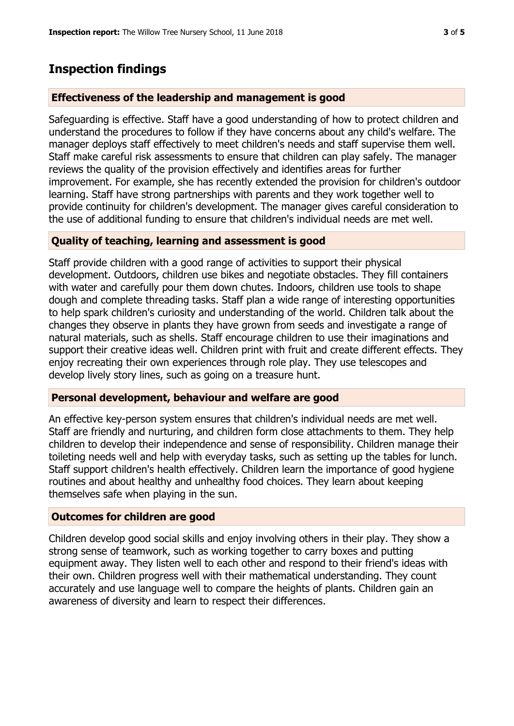# **Inspection findings**

#### **Effectiveness of the leadership and management is good**

Safeguarding is effective. Staff have a good understanding of how to protect children and understand the procedures to follow if they have concerns about any child's welfare. The manager deploys staff effectively to meet children's needs and staff supervise them well. Staff make careful risk assessments to ensure that children can play safely. The manager reviews the quality of the provision effectively and identifies areas for further improvement. For example, she has recently extended the provision for children's outdoor learning. Staff have strong partnerships with parents and they work together well to provide continuity for children's development. The manager gives careful consideration to the use of additional funding to ensure that children's individual needs are met well.

#### **Quality of teaching, learning and assessment is good**

Staff provide children with a good range of activities to support their physical development. Outdoors, children use bikes and negotiate obstacles. They fill containers with water and carefully pour them down chutes. Indoors, children use tools to shape dough and complete threading tasks. Staff plan a wide range of interesting opportunities to help spark children's curiosity and understanding of the world. Children talk about the changes they observe in plants they have grown from seeds and investigate a range of natural materials, such as shells. Staff encourage children to use their imaginations and support their creative ideas well. Children print with fruit and create different effects. They enjoy recreating their own experiences through role play. They use telescopes and develop lively story lines, such as going on a treasure hunt.

#### **Personal development, behaviour and welfare are good**

An effective key-person system ensures that children's individual needs are met well. Staff are friendly and nurturing, and children form close attachments to them. They help children to develop their independence and sense of responsibility. Children manage their toileting needs well and help with everyday tasks, such as setting up the tables for lunch. Staff support children's health effectively. Children learn the importance of good hygiene routines and about healthy and unhealthy food choices. They learn about keeping themselves safe when playing in the sun.

## **Outcomes for children are good**

Children develop good social skills and enjoy involving others in their play. They show a strong sense of teamwork, such as working together to carry boxes and putting equipment away. They listen well to each other and respond to their friend's ideas with their own. Children progress well with their mathematical understanding. They count accurately and use language well to compare the heights of plants. Children gain an awareness of diversity and learn to respect their differences.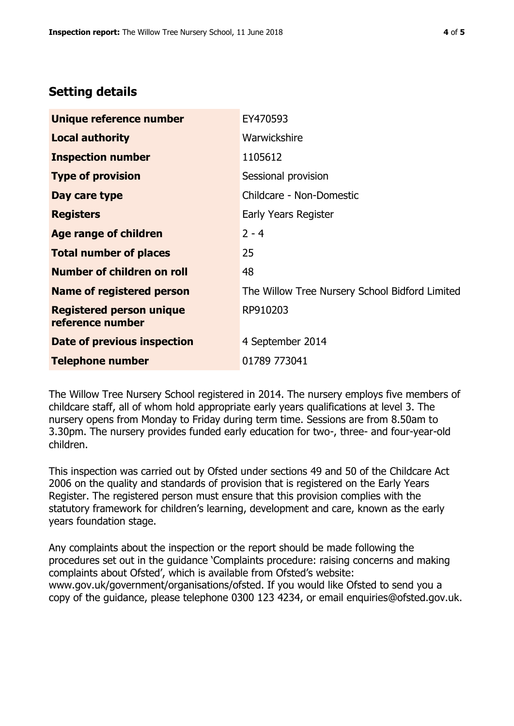## **Setting details**

| Unique reference number                             | EY470593                                       |  |  |
|-----------------------------------------------------|------------------------------------------------|--|--|
| <b>Local authority</b>                              | Warwickshire                                   |  |  |
| <b>Inspection number</b>                            | 1105612                                        |  |  |
| <b>Type of provision</b>                            | Sessional provision                            |  |  |
| Day care type                                       | Childcare - Non-Domestic                       |  |  |
| <b>Registers</b>                                    | Early Years Register                           |  |  |
| <b>Age range of children</b>                        | $2 - 4$                                        |  |  |
| <b>Total number of places</b>                       | 25                                             |  |  |
| <b>Number of children on roll</b>                   | 48                                             |  |  |
| Name of registered person                           | The Willow Tree Nursery School Bidford Limited |  |  |
| <b>Registered person unique</b><br>reference number | RP910203                                       |  |  |
| Date of previous inspection                         | 4 September 2014                               |  |  |
| <b>Telephone number</b>                             | 01789 773041                                   |  |  |

The Willow Tree Nursery School registered in 2014. The nursery employs five members of childcare staff, all of whom hold appropriate early years qualifications at level 3. The nursery opens from Monday to Friday during term time. Sessions are from 8.50am to 3.30pm. The nursery provides funded early education for two-, three- and four-year-old children.

This inspection was carried out by Ofsted under sections 49 and 50 of the Childcare Act 2006 on the quality and standards of provision that is registered on the Early Years Register. The registered person must ensure that this provision complies with the statutory framework for children's learning, development and care, known as the early years foundation stage.

Any complaints about the inspection or the report should be made following the procedures set out in the guidance 'Complaints procedure: raising concerns and making complaints about Ofsted', which is available from Ofsted's website: www.gov.uk/government/organisations/ofsted. If you would like Ofsted to send you a copy of the guidance, please telephone 0300 123 4234, or email enquiries@ofsted.gov.uk.